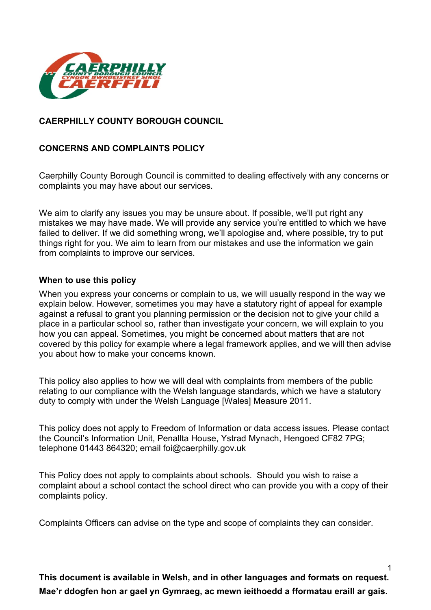

# **CAERPHILLY COUNTY BOROUGH COUNCIL**

# **CONCERNS AND COMPLAINTS POLICY**

Caerphilly County Borough Council is committed to dealing effectively with any concerns or complaints you may have about our services.

We aim to clarify any issues you may be unsure about. If possible, we'll put right any mistakes we may have made. We will provide any service you're entitled to which we have failed to deliver. If we did something wrong, we'll apologise and, where possible, try to put things right for you. We aim to learn from our mistakes and use the information we gain from complaints to improve our services.

#### **When to use this policy**

When you express your concerns or complain to us, we will usually respond in the way we explain below. However, sometimes you may have a statutory right of appeal for example against a refusal to grant you planning permission or the decision not to give your child a place in a particular school so, rather than investigate your concern, we will explain to you how you can appeal. Sometimes, you might be concerned about matters that are not covered by this policy for example where a legal framework applies, and we will then advise you about how to make your concerns known.

This policy also applies to how we will deal with complaints from members of the public relating to our compliance with the Welsh language standards, which we have a statutory duty to comply with under the Welsh Language [Wales] Measure 2011.

This policy does not apply to Freedom of Information or data access issues. Please contact the Council's Information Unit, Penallta House, Ystrad Mynach, Hengoed CF82 7PG; telephone 01443 864320; email [foi@caerphilly.gov.uk](mailto:foi@caerphilly.gov.uk)

This Policy does not apply to complaints about schools. Should you wish to raise a complaint about a school contact the school direct who can provide you with a copy of their complaints policy.

Complaints Officers can advise on the type and scope of complaints they can consider.

**This document is available in Welsh, and in other languages and formats on request. Mae'r ddogfen hon ar gael yn Gymraeg, ac mewn ieithoedd a fformatau eraill ar gais.**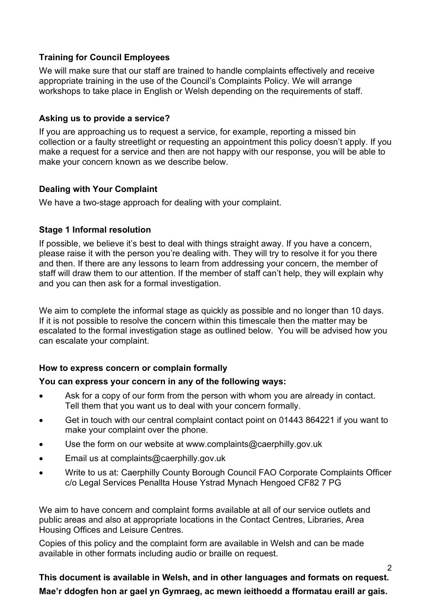# **Training for Council Employees**

We will make sure that our staff are trained to handle complaints effectively and receive appropriate training in the use of the Council's Complaints Policy. We will arrange workshops to take place in English or Welsh depending on the requirements of staff.

## **Asking us to provide a service?**

If you are approaching us to request a service, for example, reporting a missed bin collection or a faulty streetlight or requesting an appointment this policy doesn't apply. If you make a request for a service and then are not happy with our response, you will be able to make your concern known as we describe below.

### **Dealing with Your Complaint**

We have a two-stage approach for dealing with your complaint.

### **Stage 1 Informal resolution**

If possible, we believe it's best to deal with things straight away. If you have a concern, please raise it with the person you're dealing with. They will try to resolve it for you there and then. If there are any lessons to learn from addressing your concern, the member of staff will draw them to our attention. If the member of staff can't help, they will explain why and you can then ask for a formal investigation.

We aim to complete the informal stage as quickly as possible and no longer than 10 days. If it is not possible to resolve the concern within this timescale then the matter may be escalated to the formal investigation stage as outlined below. You will be advised how you can escalate your complaint.

# **How to express concern or complain formally**

#### **You can express your concern in any of the following ways:**

- Ask for a copy of our form from the person with whom you are already in contact. Tell them that you want us to deal with your concern formally.
- Get in touch with our central complaint contact point on 01443 864221 if you want to make your complaint over the phone.
- Use the form on our website at [www.complaints@caerphilly.gov.uk](http://www.complaints@caerphilly.gov.uk)
- Email us at complaints@caerphilly.gov.uk
- Write to us at: Caerphilly County Borough Council FAO Corporate Complaints Officer c/o Legal Services Penallta House Ystrad Mynach Hengoed CF82 7 PG

We aim to have concern and complaint forms available at all of our service outlets and public areas and also at appropriate locations in the Contact Centres, Libraries, Area Housing Offices and Leisure Centres.

Copies of this policy and the complaint form are available in Welsh and can be made available in other formats including audio or braille on request.

**This document is available in Welsh, and in other languages and formats on request. Mae'r ddogfen hon ar gael yn Gymraeg, ac mewn ieithoedd a fformatau eraill ar gais.**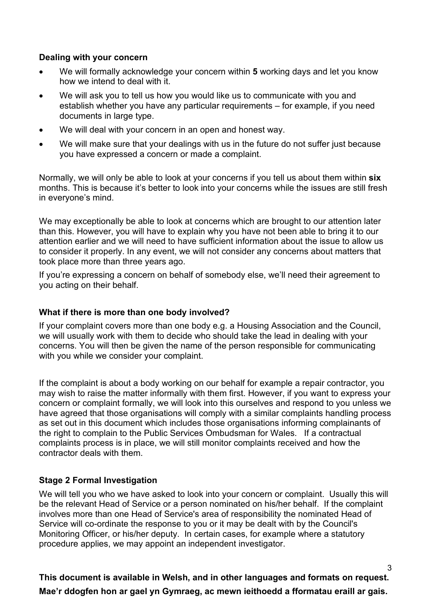### **Dealing with your concern**

- We will formally acknowledge your concern within **5** working days and let you know how we intend to deal with it.
- We will ask you to tell us how you would like us to communicate with you and establish whether you have any particular requirements – for example, if you need documents in large type.
- We will deal with your concern in an open and honest way.
- We will make sure that your dealings with us in the future do not suffer just because you have expressed a concern or made a complaint.

Normally, we will only be able to look at your concerns if you tell us about them within **six** months. This is because it's better to look into your concerns while the issues are still fresh in everyone's mind.

We may exceptionally be able to look at concerns which are brought to our attention later than this. However, you will have to explain why you have not been able to bring it to our attention earlier and we will need to have sufficient information about the issue to allow us to consider it properly. In any event, we will not consider any concerns about matters that took place more than three years ago.

If you're expressing a concern on behalf of somebody else, we'll need their agreement to you acting on their behalf.

# **What if there is more than one body involved?**

If your complaint covers more than one body e.g. a Housing Association and the Council, we will usually work with them to decide who should take the lead in dealing with your concerns. You will then be given the name of the person responsible for communicating with you while we consider your complaint.

If the complaint is about a body working on our behalf for example a repair contractor, you may wish to raise the matter informally with them first. However, if you want to express your concern or complaint formally, we will look into this ourselves and respond to you unless we have agreed that those organisations will comply with a similar complaints handling process as set out in this document which includes those organisations informing complainants of the right to complain to the Public Services Ombudsman for Wales. If a contractual complaints process is in place, we will still monitor complaints received and how the contractor deals with them.

# **Stage 2 Formal Investigation**

We will tell you who we have asked to look into your concern or complaint. Usually this will be the relevant Head of Service or a person nominated on his/her behalf. If the complaint involves more than one Head of Service's area of responsibility the nominated Head of Service will co-ordinate the response to you or it may be dealt with by the Council's Monitoring Officer, or his/her deputy. In certain cases, for example where a statutory procedure applies, we may appoint an independent investigator.

**This document is available in Welsh, and in other languages and formats on request. Mae'r ddogfen hon ar gael yn Gymraeg, ac mewn ieithoedd a fformatau eraill ar gais.**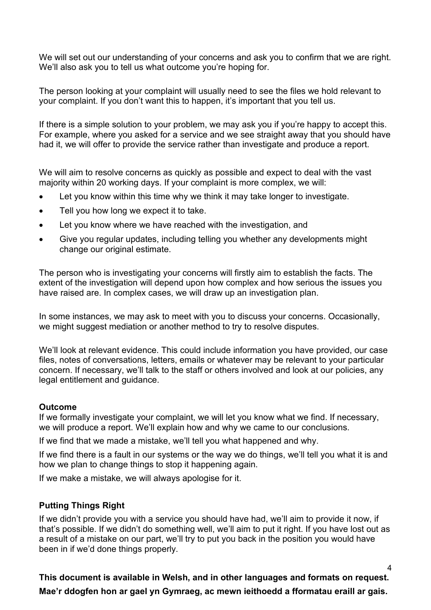We will set out our understanding of your concerns and ask you to confirm that we are right. We'll also ask you to tell us what outcome you're hoping for.

The person looking at your complaint will usually need to see the files we hold relevant to your complaint. If you don't want this to happen, it's important that you tell us.

If there is a simple solution to your problem, we may ask you if you're happy to accept this. For example, where you asked for a service and we see straight away that you should have had it, we will offer to provide the service rather than investigate and produce a report.

We will aim to resolve concerns as quickly as possible and expect to deal with the vast majority within 20 working days. If your complaint is more complex, we will:

- Let you know within this time why we think it may take longer to investigate.
- Tell you how long we expect it to take.
- Let you know where we have reached with the investigation, and
- Give you regular updates, including telling you whether any developments might change our original estimate.

The person who is investigating your concerns will firstly aim to establish the facts. The extent of the investigation will depend upon how complex and how serious the issues you have raised are. In complex cases, we will draw up an investigation plan.

In some instances, we may ask to meet with you to discuss your concerns. Occasionally, we might suggest mediation or another method to try to resolve disputes.

We'll look at relevant evidence. This could include information you have provided, our case files, notes of conversations, letters, emails or whatever may be relevant to your particular concern. If necessary, we'll talk to the staff or others involved and look at our policies, any legal entitlement and guidance.

#### **Outcome**

If we formally investigate your complaint, we will let you know what we find. If necessary, we will produce a report. We'll explain how and why we came to our conclusions.

If we find that we made a mistake, we'll tell you what happened and why.

If we find there is a fault in our systems or the way we do things, we'll tell you what it is and how we plan to change things to stop it happening again.

If we make a mistake, we will always apologise for it.

# **Putting Things Right**

If we didn't provide you with a service you should have had, we'll aim to provide it now, if that's possible. If we didn't do something well, we'll aim to put it right. If you have lost out as a result of a mistake on our part, we'll try to put you back in the position you would have been in if we'd done things properly.

**This document is available in Welsh, and in other languages and formats on request. Mae'r ddogfen hon ar gael yn Gymraeg, ac mewn ieithoedd a fformatau eraill ar gais.**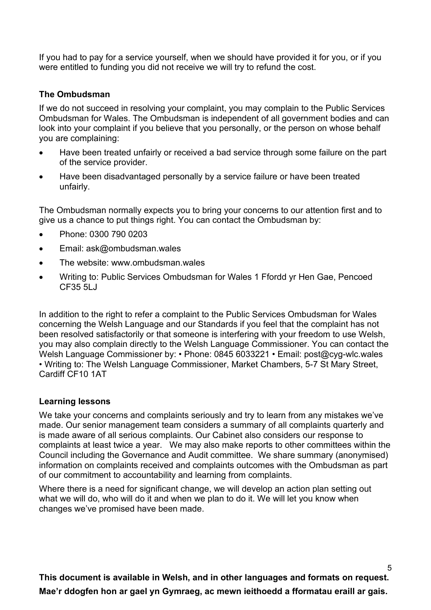If you had to pay for a service yourself, when we should have provided it for you, or if you were entitled to funding you did not receive we will try to refund the cost.

## **The Ombudsman**

If we do not succeed in resolving your complaint, you may complain to the Public Services Ombudsman for Wales. The Ombudsman is independent of all government bodies and can look into your complaint if you believe that you personally, or the person on whose behalf you are complaining:

- Have been treated unfairly or received a bad service through some failure on the part of the service provider.
- Have been disadvantaged personally by a service failure or have been treated unfairly.

The Ombudsman normally expects you to bring your concerns to our attention first and to give us a chance to put things right. You can contact the Ombudsman by:

- Phone: 0300 790 0203
- Email: ask@ombudsman.wales
- The website: www.ombudsman.wales.
- Writing to: Public Services Ombudsman for Wales 1 Ffordd yr Hen Gae, Pencoed CF35 5LJ

In addition to the right to refer a complaint to the Public Services Ombudsman for Wales concerning the Welsh Language and our Standards if you feel that the complaint has not been resolved satisfactorily or that someone is interfering with your freedom to use Welsh, you may also complain directly to the Welsh Language Commissioner. You can contact the Welsh Language Commissioner by: • Phone: 0845 6033221 • Email: [post@cyg-wlc.wales](mailto:post@cyg-wlc.wales)  • Writing to: The Welsh Language Commissioner, Market Chambers, 5-7 St Mary Street, Cardiff CF10 1AT

#### **Learning lessons**

We take your concerns and complaints seriously and try to learn from any mistakes we've made. Our senior management team considers a summary of all complaints quarterly and is made aware of all serious complaints. Our Cabinet also considers our response to complaints at least twice a year. We may also make reports to other committees within the Council including the Governance and Audit committee. We share summary (anonymised) information on complaints received and complaints outcomes with the Ombudsman as part of our commitment to accountability and learning from complaints.

Where there is a need for significant change, we will develop an action plan setting out what we will do, who will do it and when we plan to do it. We will let you know when changes we've promised have been made.

**This document is available in Welsh, and in other languages and formats on request. Mae'r ddogfen hon ar gael yn Gymraeg, ac mewn ieithoedd a fformatau eraill ar gais.**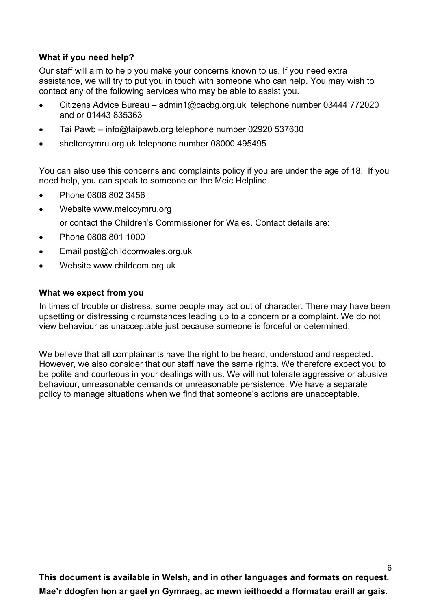# **What if you need help?**

Our staff will aim to help you make your concerns known to us. If you need extra assistance, we will try to put you in touch with someone who can help. You may wish to contact any of the following services who may be able to assist you.

- Citizens Advice Bureau [admin1@cacbg.org.uk](mailto:admin1@cacbg.org.uk) telephone number 03444 772020 and or 01443 835363
- Tai Pawb [info@taipawb.org](mailto:info@taipawb.org) telephone number 02920 537630
- sheltercymru.org.uk telephone number 08000 495495

You can also use this concerns and complaints policy if you are under the age of 18. If you need help, you can speak to someone on the Meic Helpline.

- Phone 0808 802 3456
- Website www.meiccymru.org

or contact the Children's Commissioner for Wales. Contact details are:

- Phone 0808 801 1000
- Email post@childcomwales.org.uk
- Website [www.childcom.org.uk](http://www.childcom.org.uk/)

#### **What we expect from you**

In times of trouble or distress, some people may act out of character. There may have been upsetting or distressing circumstances leading up to a concern or a complaint. We do not view behaviour as unacceptable just because someone is forceful or determined.

We believe that all complainants have the right to be heard, understood and respected. However, we also consider that our staff have the same rights. We therefore expect you to be polite and courteous in your dealings with us. We will not tolerate aggressive or abusive behaviour, unreasonable demands or unreasonable persistence. We have a separate policy to manage situations when we find that someone's actions are unacceptable.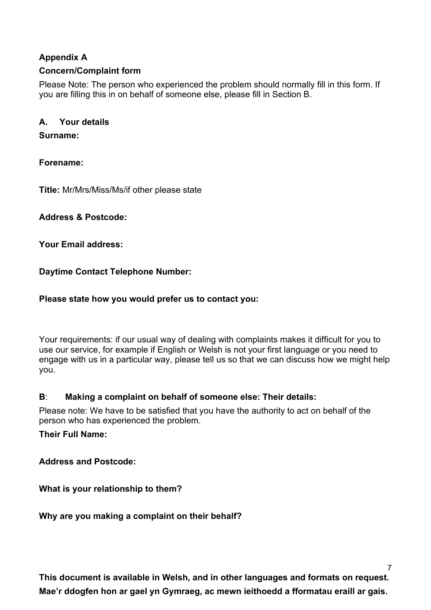# **Appendix A**

# **Concern/Complaint form**

Please Note: The person who experienced the problem should normally fill in this form. If you are filling this in on behalf of someone else, please fill in Section B.

## **A. Your details**

### **Surname:**

**Forename:**

**Title:** Mr/Mrs/Miss/Ms/if other please state

**Address & Postcode:**

**Your Email address:**

**Daytime Contact Telephone Number:**

### **Please state how you would prefer us to contact you:**

Your requirements: if our usual way of dealing with complaints makes it difficult for you to use our service, for example if English or Welsh is not your first language or you need to engage with us in a particular way, please tell us so that we can discuss how we might help you.

# **B**: **Making a complaint on behalf of someone else: Their details:**

Please note: We have to be satisfied that you have the authority to act on behalf of the person who has experienced the problem.

**Their Full Name:**

**Address and Postcode:**

**What is your relationship to them?**

**Why are you making a complaint on their behalf?**

**This document is available in Welsh, and in other languages and formats on request. Mae'r ddogfen hon ar gael yn Gymraeg, ac mewn ieithoedd a fformatau eraill ar gais.**